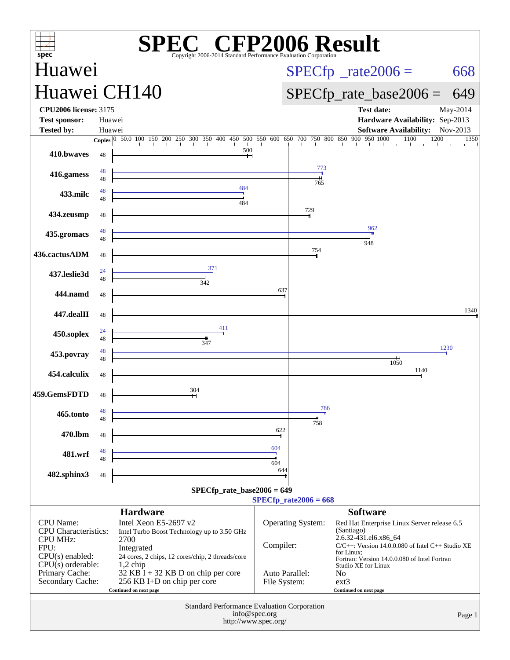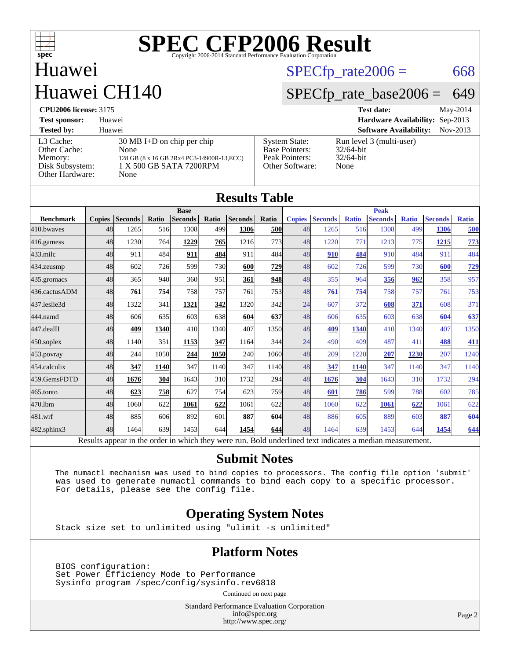

#### Huawei Huawei CH140

#### $SPECTp_rate2006 = 668$

### [SPECfp\\_rate\\_base2006 =](http://www.spec.org/auto/cpu2006/Docs/result-fields.html#SPECfpratebase2006) 649

| <b>CPU2006 license: 3175</b>                                               |                                                                                                                               |                                                                                    | <b>Test date:</b>                                                | May-2014 |
|----------------------------------------------------------------------------|-------------------------------------------------------------------------------------------------------------------------------|------------------------------------------------------------------------------------|------------------------------------------------------------------|----------|
| <b>Test sponsor:</b>                                                       | Huawei                                                                                                                        |                                                                                    | Hardware Availability: Sep-2013                                  |          |
| <b>Tested by:</b>                                                          | Huawei                                                                                                                        |                                                                                    | <b>Software Availability:</b>                                    | Nov-2013 |
| L3 Cache:<br>Other Cache:<br>Memory:<br>Disk Subsystem:<br>Other Hardware: | $30 \text{ MB I+D}$ on chip per chip<br>None<br>128 GB (8 x 16 GB 2Rx4 PC3-14900R-13, ECC)<br>1 X 500 GB SATA 7200RPM<br>None | <b>System State:</b><br><b>Base Pointers:</b><br>Peak Pointers:<br>Other Software: | Run level 3 (multi-user)<br>$32/64$ -bit<br>$32/64$ -bit<br>None |          |

| <b>Results Table</b> |               |                |       |                                                                                                          |                 |                |                  |               |                |              |                |              |                |              |
|----------------------|---------------|----------------|-------|----------------------------------------------------------------------------------------------------------|-----------------|----------------|------------------|---------------|----------------|--------------|----------------|--------------|----------------|--------------|
|                      | <b>Base</b>   |                |       | <b>Peak</b>                                                                                              |                 |                |                  |               |                |              |                |              |                |              |
| <b>Benchmark</b>     | <b>Copies</b> | <b>Seconds</b> | Ratio | <b>Seconds</b>                                                                                           | Ratio           | <b>Seconds</b> | Ratio            | <b>Copies</b> | <b>Seconds</b> | <b>Ratio</b> | <b>Seconds</b> | <b>Ratio</b> | <b>Seconds</b> | <b>Ratio</b> |
| 410.bwayes           | 48            | 1265           | 516   | 1308                                                                                                     | 499             | 1306           | <b>500</b>       | 48            | 1265           | 516          | 1308           | 499          | 1306           | 500          |
| 416.gamess           | 48            | 1230           | 764   | 1229                                                                                                     | 765             | 1216           | 773              | 48            | 1220           | 771          | 1213           | 775          | 1215           | <u>773</u>   |
| $433$ .milc          | 48            | 911            | 484   | 911                                                                                                      | 484             | 911            | 484              | 48            | 910            | 484          | 910            | 484          | 911            | 484          |
| 434.zeusmp           | 48            | 602            | 726   | 599                                                                                                      | <b>730</b>      | 600            | <u>729</u>       | 48            | 602            | 726          | 599            | 730          | 600            | 729          |
| 435.gromacs          | 48            | 365            | 940   | 360                                                                                                      | 951             | 361            | 948              | 48            | 355            | 964          | 356            | 962          | 358            | 957          |
| 436.cactusADM        | 48            | 761            | 754   | 758                                                                                                      | 757             | 761            | <b>753</b>       | 48            | 761            | 754          | 758            | 757          | 761            | 753          |
| 437.leslie3d         | 48            | 1322           | 341   | 1321                                                                                                     | 342             | 1320           | 342              | 24            | 607            | 372          | 608            | 371          | 608            | 371          |
| 444.namd             | 48            | 606            | 635   | 603                                                                                                      | 638l            | 604            | 637              | 48            | 606            | 635          | 603            | 638          | 604            | 637          |
| 447.dealII           | 48            | 409            | 1340  | 410                                                                                                      | 1340            | 407            | 1350             | 48            | 409            | 1340         | 410            | 1340         | 407            | 1350         |
| $450$ .soplex        | 48            | 1140           | 351   | 1153                                                                                                     | 347             | 1164           | 344              | 24            | 490            | 409          | 487            | 411          | 488            | <u>411</u>   |
| $453$ .povray        | 48            | 244            | 1050  | 244                                                                                                      | 1050            | 240            | 1060             | 48            | 209            | 1220         | 207            | 1230         | 207            | 1240         |
| 454.calculix         | 48            | 347            | 1140  | 347                                                                                                      | 1140            | 347            | 1140             | 48            | 347            | 1140         | 347            | 1140         | 347            | 1140         |
| 459.GemsFDTD         | 48            | 1676           | 304   | 1643                                                                                                     | 31 <sub>0</sub> | 1732           | 294              | 48            | 1676           | 304          | 1643           | 310          | 1732           | 294          |
| 465.tonto            | 48            | 623            | 758   | 627                                                                                                      | 754             | 623            | 759 <sub>l</sub> | 48            | 601            | 786          | 599            | 788          | 602            | 785          |
| 470.1bm              | 48            | 1060           | 622   | 1061                                                                                                     | 622             | 1061           | 622              | 48            | 1060           | 622          | 1061           | 622          | 1061           | 622          |
| 481.wrf              | 48            | 885            | 606   | 892                                                                                                      | 601             | 887            | 604              | 48            | 886            | 605          | 889            | 603          | 887            | <u>604</u>   |
| $482$ .sphinx $3$    | 48            | 1464           | 639   | 1453                                                                                                     | 644             | 1454           | 644              | 48            | 1464           | 639          | 1453           | 644          | 1454           | 644          |
|                      |               |                |       | Results appear in the order in which they were run. Bold underlined text indicates a median measurement. |                 |                |                  |               |                |              |                |              |                |              |

#### **[Submit Notes](http://www.spec.org/auto/cpu2006/Docs/result-fields.html#SubmitNotes)**

 The numactl mechanism was used to bind copies to processors. The config file option 'submit' was used to generate numactl commands to bind each copy to a specific processor. For details, please see the config file.

#### **[Operating System Notes](http://www.spec.org/auto/cpu2006/Docs/result-fields.html#OperatingSystemNotes)**

Stack size set to unlimited using "ulimit -s unlimited"

#### **[Platform Notes](http://www.spec.org/auto/cpu2006/Docs/result-fields.html#PlatformNotes)**

 BIOS configuration: Set Power Efficiency Mode to Performance Sysinfo program /spec/config/sysinfo.rev6818

Continued on next page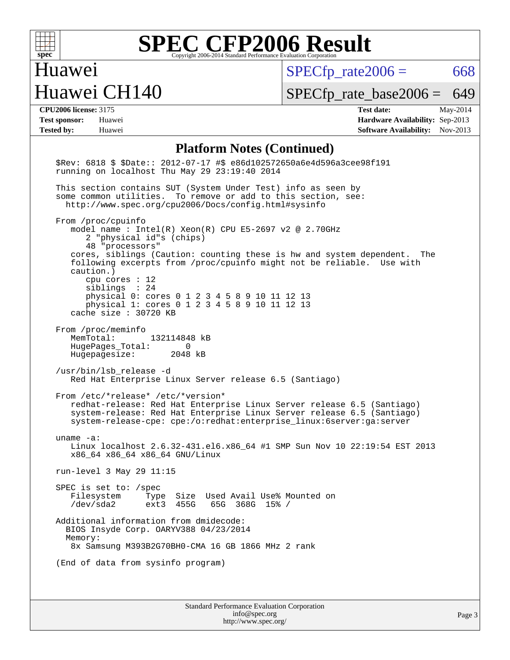

### Huawei Huawei CH140

 $SPECfp_rate2006 = 668$  $SPECfp_rate2006 = 668$ 

[SPECfp\\_rate\\_base2006 =](http://www.spec.org/auto/cpu2006/Docs/result-fields.html#SPECfpratebase2006) 649

**[CPU2006 license:](http://www.spec.org/auto/cpu2006/Docs/result-fields.html#CPU2006license)** 3175 **[Test date:](http://www.spec.org/auto/cpu2006/Docs/result-fields.html#Testdate)** May-2014 **[Test sponsor:](http://www.spec.org/auto/cpu2006/Docs/result-fields.html#Testsponsor)** Huawei **[Hardware Availability:](http://www.spec.org/auto/cpu2006/Docs/result-fields.html#HardwareAvailability)** Sep-2013 **[Tested by:](http://www.spec.org/auto/cpu2006/Docs/result-fields.html#Testedby)** Huawei **[Software Availability:](http://www.spec.org/auto/cpu2006/Docs/result-fields.html#SoftwareAvailability)** Nov-2013

#### **[Platform Notes \(Continued\)](http://www.spec.org/auto/cpu2006/Docs/result-fields.html#PlatformNotes)**

| Standard Performance Evaluation Corporation<br>info@spec.org                                                                                                                                                                                                                |  |
|-----------------------------------------------------------------------------------------------------------------------------------------------------------------------------------------------------------------------------------------------------------------------------|--|
|                                                                                                                                                                                                                                                                             |  |
| (End of data from sysinfo program)                                                                                                                                                                                                                                          |  |
| Memory:<br>8x Samsung M393B2G70BH0-CMA 16 GB 1866 MHz 2 rank                                                                                                                                                                                                                |  |
| Additional information from dmidecode:<br>BIOS Insyde Corp. OARYV388 04/23/2014                                                                                                                                                                                             |  |
| /dev/sda2 ext3 455G 65G 368G 15%                                                                                                                                                                                                                                            |  |
| SPEC is set to: /spec<br>Filesystem<br>Type Size Used Avail Use% Mounted on                                                                                                                                                                                                 |  |
| run-level 3 May 29 11:15                                                                                                                                                                                                                                                    |  |
| uname $-a$ :<br>Linux localhost 2.6.32-431.el6.x86_64 #1 SMP Sun Nov 10 22:19:54 EST 2013<br>x86_64 x86_64 x86_64 GNU/Linux                                                                                                                                                 |  |
| From /etc/*release* /etc/*version*<br>redhat-release: Red Hat Enterprise Linux Server release 6.5 (Santiago)<br>system-release: Red Hat Enterprise Linux Server release 6.5 (Santiago)<br>system-release-cpe: cpe:/o:redhat:enterprise_linux:6server:ga:server              |  |
| /usr/bin/lsb_release -d<br>Red Hat Enterprise Linux Server release 6.5 (Santiago)                                                                                                                                                                                           |  |
| HugePages_Total:<br>$\overline{0}$<br>Hugepagesize: 2048 kB                                                                                                                                                                                                                 |  |
| From /proc/meminfo<br>MemTotal:<br>132114848 kB                                                                                                                                                                                                                             |  |
| cpu cores $: 12$<br>siblings : 24<br>physical 0: cores 0 1 2 3 4 5 8 9 10 11 12 13<br>physical 1: cores 0 1 2 3 4 5 8 9 10 11 12 13<br>cache size : 30720 KB                                                                                                                |  |
| model name: $Intel(R)$ Xeon(R) CPU E5-2697 v2 @ 2.70GHz<br>2 "physical id"s (chips)<br>48 "processors"<br>cores, siblings (Caution: counting these is hw and system dependent.<br>The<br>following excerpts from /proc/cpuinfo might not be reliable. Use with<br>caution.) |  |
| http://www.spec.org/cpu2006/Docs/config.html#sysinfo<br>From /proc/cpuinfo                                                                                                                                                                                                  |  |
| This section contains SUT (System Under Test) info as seen by<br>some common utilities. To remove or add to this section, see:                                                                                                                                              |  |
| \$Rev: 6818 \$ \$Date:: 2012-07-17 #\$ e86d102572650a6e4d596a3cee98f191<br>running on localhost Thu May 29 23:19:40 2014                                                                                                                                                    |  |

<http://www.spec.org/>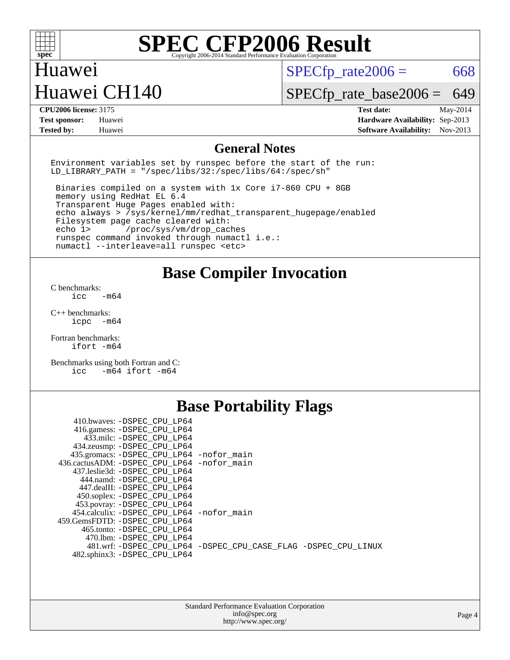

#### Huawei Huawei CH140

 $SPECTp\_rate2006 = 668$ 

[SPECfp\\_rate\\_base2006 =](http://www.spec.org/auto/cpu2006/Docs/result-fields.html#SPECfpratebase2006) 649

**[CPU2006 license:](http://www.spec.org/auto/cpu2006/Docs/result-fields.html#CPU2006license)** 3175 **[Test date:](http://www.spec.org/auto/cpu2006/Docs/result-fields.html#Testdate)** May-2014 **[Test sponsor:](http://www.spec.org/auto/cpu2006/Docs/result-fields.html#Testsponsor)** Huawei **[Hardware Availability:](http://www.spec.org/auto/cpu2006/Docs/result-fields.html#HardwareAvailability)** Sep-2013 **[Tested by:](http://www.spec.org/auto/cpu2006/Docs/result-fields.html#Testedby)** Huawei **[Software Availability:](http://www.spec.org/auto/cpu2006/Docs/result-fields.html#SoftwareAvailability)** Nov-2013

#### **[General Notes](http://www.spec.org/auto/cpu2006/Docs/result-fields.html#GeneralNotes)**

Environment variables set by runspec before the start of the run: LD LIBRARY PATH = "/spec/libs/32:/spec/libs/64:/spec/sh"

 Binaries compiled on a system with 1x Core i7-860 CPU + 8GB memory using RedHat EL 6.4 Transparent Huge Pages enabled with: echo always > /sys/kernel/mm/redhat\_transparent\_hugepage/enabled Filesystem page cache cleared with: echo 1> /proc/sys/vm/drop\_caches runspec command invoked through numactl i.e.: numactl --interleave=all runspec <etc>

#### **[Base Compiler Invocation](http://www.spec.org/auto/cpu2006/Docs/result-fields.html#BaseCompilerInvocation)**

[C benchmarks](http://www.spec.org/auto/cpu2006/Docs/result-fields.html#Cbenchmarks):  $\text{icc}$   $-\text{m64}$ 

[C++ benchmarks:](http://www.spec.org/auto/cpu2006/Docs/result-fields.html#CXXbenchmarks) [icpc -m64](http://www.spec.org/cpu2006/results/res2014q3/cpu2006-20140604-29813.flags.html#user_CXXbase_intel_icpc_64bit_bedb90c1146cab66620883ef4f41a67e)

[Fortran benchmarks](http://www.spec.org/auto/cpu2006/Docs/result-fields.html#Fortranbenchmarks): [ifort -m64](http://www.spec.org/cpu2006/results/res2014q3/cpu2006-20140604-29813.flags.html#user_FCbase_intel_ifort_64bit_ee9d0fb25645d0210d97eb0527dcc06e)

[Benchmarks using both Fortran and C](http://www.spec.org/auto/cpu2006/Docs/result-fields.html#BenchmarksusingbothFortranandC): [icc -m64](http://www.spec.org/cpu2006/results/res2014q3/cpu2006-20140604-29813.flags.html#user_CC_FCbase_intel_icc_64bit_0b7121f5ab7cfabee23d88897260401c) [ifort -m64](http://www.spec.org/cpu2006/results/res2014q3/cpu2006-20140604-29813.flags.html#user_CC_FCbase_intel_ifort_64bit_ee9d0fb25645d0210d97eb0527dcc06e)

#### **[Base Portability Flags](http://www.spec.org/auto/cpu2006/Docs/result-fields.html#BasePortabilityFlags)**

| 410.bwaves: -DSPEC CPU LP64                 |                                                                |
|---------------------------------------------|----------------------------------------------------------------|
| 416.gamess: -DSPEC_CPU_LP64                 |                                                                |
| 433.milc: -DSPEC CPU LP64                   |                                                                |
| 434.zeusmp: - DSPEC_CPU_LP64                |                                                                |
| 435.gromacs: -DSPEC_CPU_LP64 -nofor_main    |                                                                |
| 436.cactusADM: -DSPEC CPU LP64 -nofor main  |                                                                |
| 437.leslie3d: -DSPEC CPU LP64               |                                                                |
| 444.namd: -DSPEC CPU LP64                   |                                                                |
| 447.dealII: -DSPEC_CPU LP64                 |                                                                |
| 450.soplex: -DSPEC_CPU_LP64                 |                                                                |
| 453.povray: -DSPEC CPU LP64                 |                                                                |
| 454.calculix: - DSPEC CPU LP64 - nofor main |                                                                |
| 459. GemsFDTD: - DSPEC CPU LP64             |                                                                |
| 465.tonto: - DSPEC CPU LP64                 |                                                                |
| 470.1bm: - DSPEC CPU LP64                   |                                                                |
|                                             | 481.wrf: -DSPEC CPU_LP64 -DSPEC_CPU_CASE_FLAG -DSPEC_CPU_LINUX |
| 482.sphinx3: -DSPEC_CPU_LP64                |                                                                |
|                                             |                                                                |

| <b>Standard Performance Evaluation Corporation</b> |
|----------------------------------------------------|
| info@spec.org                                      |
| http://www.spec.org/                               |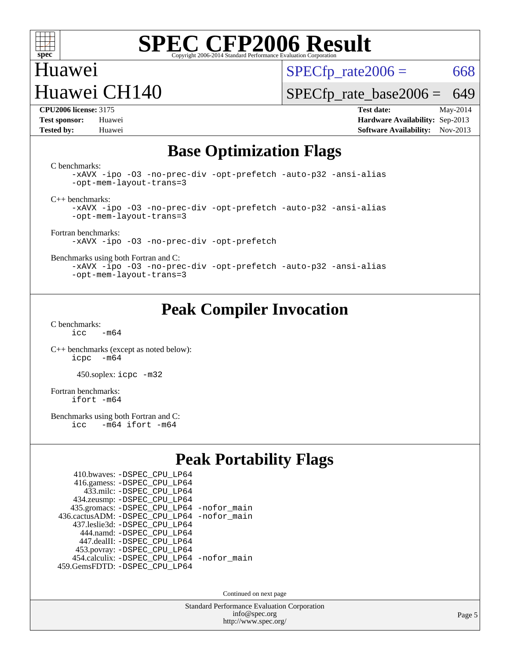

#### Huawei Huawei CH140

 $SPECTp\_rate2006 = 668$ 

[SPECfp\\_rate\\_base2006 =](http://www.spec.org/auto/cpu2006/Docs/result-fields.html#SPECfpratebase2006) 649

**[CPU2006 license:](http://www.spec.org/auto/cpu2006/Docs/result-fields.html#CPU2006license)** 3175 **[Test date:](http://www.spec.org/auto/cpu2006/Docs/result-fields.html#Testdate)** May-2014 **[Test sponsor:](http://www.spec.org/auto/cpu2006/Docs/result-fields.html#Testsponsor)** Huawei **[Hardware Availability:](http://www.spec.org/auto/cpu2006/Docs/result-fields.html#HardwareAvailability)** Sep-2013 **[Tested by:](http://www.spec.org/auto/cpu2006/Docs/result-fields.html#Testedby)** Huawei **[Software Availability:](http://www.spec.org/auto/cpu2006/Docs/result-fields.html#SoftwareAvailability)** Nov-2013

#### **[Base Optimization Flags](http://www.spec.org/auto/cpu2006/Docs/result-fields.html#BaseOptimizationFlags)**

[C benchmarks](http://www.spec.org/auto/cpu2006/Docs/result-fields.html#Cbenchmarks):

[-xAVX](http://www.spec.org/cpu2006/results/res2014q3/cpu2006-20140604-29813.flags.html#user_CCbase_f-xAVX) [-ipo](http://www.spec.org/cpu2006/results/res2014q3/cpu2006-20140604-29813.flags.html#user_CCbase_f-ipo) [-O3](http://www.spec.org/cpu2006/results/res2014q3/cpu2006-20140604-29813.flags.html#user_CCbase_f-O3) [-no-prec-div](http://www.spec.org/cpu2006/results/res2014q3/cpu2006-20140604-29813.flags.html#user_CCbase_f-no-prec-div) [-opt-prefetch](http://www.spec.org/cpu2006/results/res2014q3/cpu2006-20140604-29813.flags.html#user_CCbase_f-opt-prefetch) [-auto-p32](http://www.spec.org/cpu2006/results/res2014q3/cpu2006-20140604-29813.flags.html#user_CCbase_f-auto-p32) [-ansi-alias](http://www.spec.org/cpu2006/results/res2014q3/cpu2006-20140604-29813.flags.html#user_CCbase_f-ansi-alias) [-opt-mem-layout-trans=3](http://www.spec.org/cpu2006/results/res2014q3/cpu2006-20140604-29813.flags.html#user_CCbase_f-opt-mem-layout-trans_a7b82ad4bd7abf52556d4961a2ae94d5)

[C++ benchmarks:](http://www.spec.org/auto/cpu2006/Docs/result-fields.html#CXXbenchmarks)

[-xAVX](http://www.spec.org/cpu2006/results/res2014q3/cpu2006-20140604-29813.flags.html#user_CXXbase_f-xAVX) [-ipo](http://www.spec.org/cpu2006/results/res2014q3/cpu2006-20140604-29813.flags.html#user_CXXbase_f-ipo) [-O3](http://www.spec.org/cpu2006/results/res2014q3/cpu2006-20140604-29813.flags.html#user_CXXbase_f-O3) [-no-prec-div](http://www.spec.org/cpu2006/results/res2014q3/cpu2006-20140604-29813.flags.html#user_CXXbase_f-no-prec-div) [-opt-prefetch](http://www.spec.org/cpu2006/results/res2014q3/cpu2006-20140604-29813.flags.html#user_CXXbase_f-opt-prefetch) [-auto-p32](http://www.spec.org/cpu2006/results/res2014q3/cpu2006-20140604-29813.flags.html#user_CXXbase_f-auto-p32) [-ansi-alias](http://www.spec.org/cpu2006/results/res2014q3/cpu2006-20140604-29813.flags.html#user_CXXbase_f-ansi-alias) [-opt-mem-layout-trans=3](http://www.spec.org/cpu2006/results/res2014q3/cpu2006-20140604-29813.flags.html#user_CXXbase_f-opt-mem-layout-trans_a7b82ad4bd7abf52556d4961a2ae94d5)

[Fortran benchmarks](http://www.spec.org/auto/cpu2006/Docs/result-fields.html#Fortranbenchmarks): [-xAVX](http://www.spec.org/cpu2006/results/res2014q3/cpu2006-20140604-29813.flags.html#user_FCbase_f-xAVX) [-ipo](http://www.spec.org/cpu2006/results/res2014q3/cpu2006-20140604-29813.flags.html#user_FCbase_f-ipo) [-O3](http://www.spec.org/cpu2006/results/res2014q3/cpu2006-20140604-29813.flags.html#user_FCbase_f-O3) [-no-prec-div](http://www.spec.org/cpu2006/results/res2014q3/cpu2006-20140604-29813.flags.html#user_FCbase_f-no-prec-div) [-opt-prefetch](http://www.spec.org/cpu2006/results/res2014q3/cpu2006-20140604-29813.flags.html#user_FCbase_f-opt-prefetch)

[Benchmarks using both Fortran and C](http://www.spec.org/auto/cpu2006/Docs/result-fields.html#BenchmarksusingbothFortranandC):

[-xAVX](http://www.spec.org/cpu2006/results/res2014q3/cpu2006-20140604-29813.flags.html#user_CC_FCbase_f-xAVX) [-ipo](http://www.spec.org/cpu2006/results/res2014q3/cpu2006-20140604-29813.flags.html#user_CC_FCbase_f-ipo) [-O3](http://www.spec.org/cpu2006/results/res2014q3/cpu2006-20140604-29813.flags.html#user_CC_FCbase_f-O3) [-no-prec-div](http://www.spec.org/cpu2006/results/res2014q3/cpu2006-20140604-29813.flags.html#user_CC_FCbase_f-no-prec-div) [-opt-prefetch](http://www.spec.org/cpu2006/results/res2014q3/cpu2006-20140604-29813.flags.html#user_CC_FCbase_f-opt-prefetch) [-auto-p32](http://www.spec.org/cpu2006/results/res2014q3/cpu2006-20140604-29813.flags.html#user_CC_FCbase_f-auto-p32) [-ansi-alias](http://www.spec.org/cpu2006/results/res2014q3/cpu2006-20140604-29813.flags.html#user_CC_FCbase_f-ansi-alias) [-opt-mem-layout-trans=3](http://www.spec.org/cpu2006/results/res2014q3/cpu2006-20140604-29813.flags.html#user_CC_FCbase_f-opt-mem-layout-trans_a7b82ad4bd7abf52556d4961a2ae94d5)

### **[Peak Compiler Invocation](http://www.spec.org/auto/cpu2006/Docs/result-fields.html#PeakCompilerInvocation)**

[C benchmarks](http://www.spec.org/auto/cpu2006/Docs/result-fields.html#Cbenchmarks):  $icc$   $-m64$ 

[C++ benchmarks \(except as noted below\):](http://www.spec.org/auto/cpu2006/Docs/result-fields.html#CXXbenchmarksexceptasnotedbelow) [icpc -m64](http://www.spec.org/cpu2006/results/res2014q3/cpu2006-20140604-29813.flags.html#user_CXXpeak_intel_icpc_64bit_bedb90c1146cab66620883ef4f41a67e)

450.soplex: [icpc -m32](http://www.spec.org/cpu2006/results/res2014q3/cpu2006-20140604-29813.flags.html#user_peakCXXLD450_soplex_intel_icpc_4e5a5ef1a53fd332b3c49e69c3330699)

[Fortran benchmarks](http://www.spec.org/auto/cpu2006/Docs/result-fields.html#Fortranbenchmarks): [ifort -m64](http://www.spec.org/cpu2006/results/res2014q3/cpu2006-20140604-29813.flags.html#user_FCpeak_intel_ifort_64bit_ee9d0fb25645d0210d97eb0527dcc06e)

[Benchmarks using both Fortran and C](http://www.spec.org/auto/cpu2006/Docs/result-fields.html#BenchmarksusingbothFortranandC):<br>icc -m64 ifort -m64  $-m64$  ifort  $-m64$ 

### **[Peak Portability Flags](http://www.spec.org/auto/cpu2006/Docs/result-fields.html#PeakPortabilityFlags)**

| 410.bwaves: - DSPEC CPU LP64                |  |
|---------------------------------------------|--|
| 416.gamess: -DSPEC_CPU_LP64                 |  |
| 433.milc: - DSPEC_CPU LP64                  |  |
| 434.zeusmp: -DSPEC_CPU_LP64                 |  |
| 435.gromacs: -DSPEC_CPU_LP64 -nofor_main    |  |
| 436.cactusADM: -DSPEC CPU LP64 -nofor main  |  |
| 437.leslie3d: -DSPEC CPU LP64               |  |
| 444.namd: - DSPEC CPU LP64                  |  |
| 447.dealII: -DSPEC CPU LP64                 |  |
| 453.povray: -DSPEC_CPU_LP64                 |  |
| 454.calculix: - DSPEC CPU LP64 - nofor main |  |
| 459.GemsFDTD: - DSPEC_CPU_LP64              |  |

Continued on next page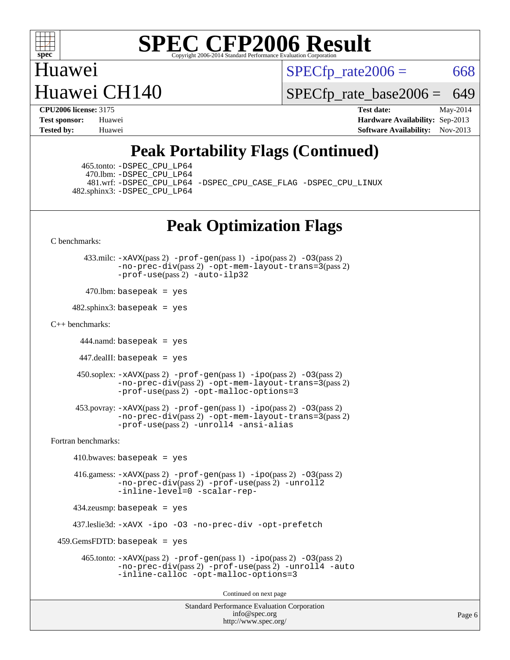

Huawei Huawei CH140  $SPECTp\_rate2006 = 668$ 

[SPECfp\\_rate\\_base2006 =](http://www.spec.org/auto/cpu2006/Docs/result-fields.html#SPECfpratebase2006) 649

**[CPU2006 license:](http://www.spec.org/auto/cpu2006/Docs/result-fields.html#CPU2006license)** 3175 **[Test date:](http://www.spec.org/auto/cpu2006/Docs/result-fields.html#Testdate)** May-2014 **[Test sponsor:](http://www.spec.org/auto/cpu2006/Docs/result-fields.html#Testsponsor)** Huawei **[Hardware Availability:](http://www.spec.org/auto/cpu2006/Docs/result-fields.html#HardwareAvailability)** Sep-2013 **[Tested by:](http://www.spec.org/auto/cpu2006/Docs/result-fields.html#Testedby)** Huawei **[Software Availability:](http://www.spec.org/auto/cpu2006/Docs/result-fields.html#SoftwareAvailability)** Nov-2013

### **[Peak Portability Flags \(Continued\)](http://www.spec.org/auto/cpu2006/Docs/result-fields.html#PeakPortabilityFlags)**

 465.tonto: [-DSPEC\\_CPU\\_LP64](http://www.spec.org/cpu2006/results/res2014q3/cpu2006-20140604-29813.flags.html#suite_peakPORTABILITY465_tonto_DSPEC_CPU_LP64) 470.lbm: [-DSPEC\\_CPU\\_LP64](http://www.spec.org/cpu2006/results/res2014q3/cpu2006-20140604-29813.flags.html#suite_peakPORTABILITY470_lbm_DSPEC_CPU_LP64) 482.sphinx3: [-DSPEC\\_CPU\\_LP64](http://www.spec.org/cpu2006/results/res2014q3/cpu2006-20140604-29813.flags.html#suite_peakPORTABILITY482_sphinx3_DSPEC_CPU_LP64)

481.wrf: [-DSPEC\\_CPU\\_LP64](http://www.spec.org/cpu2006/results/res2014q3/cpu2006-20140604-29813.flags.html#suite_peakPORTABILITY481_wrf_DSPEC_CPU_LP64) [-DSPEC\\_CPU\\_CASE\\_FLAG](http://www.spec.org/cpu2006/results/res2014q3/cpu2006-20140604-29813.flags.html#b481.wrf_peakCPORTABILITY_DSPEC_CPU_CASE_FLAG) [-DSPEC\\_CPU\\_LINUX](http://www.spec.org/cpu2006/results/res2014q3/cpu2006-20140604-29813.flags.html#b481.wrf_peakCPORTABILITY_DSPEC_CPU_LINUX)

### **[Peak Optimization Flags](http://www.spec.org/auto/cpu2006/Docs/result-fields.html#PeakOptimizationFlags)**

[C benchmarks](http://www.spec.org/auto/cpu2006/Docs/result-fields.html#Cbenchmarks):

 433.milc: [-xAVX](http://www.spec.org/cpu2006/results/res2014q3/cpu2006-20140604-29813.flags.html#user_peakPASS2_CFLAGSPASS2_LDFLAGS433_milc_f-xAVX)(pass 2) [-prof-gen](http://www.spec.org/cpu2006/results/res2014q3/cpu2006-20140604-29813.flags.html#user_peakPASS1_CFLAGSPASS1_LDFLAGS433_milc_prof_gen_e43856698f6ca7b7e442dfd80e94a8fc)(pass 1) [-ipo](http://www.spec.org/cpu2006/results/res2014q3/cpu2006-20140604-29813.flags.html#user_peakPASS2_CFLAGSPASS2_LDFLAGS433_milc_f-ipo)(pass 2) [-O3](http://www.spec.org/cpu2006/results/res2014q3/cpu2006-20140604-29813.flags.html#user_peakPASS2_CFLAGSPASS2_LDFLAGS433_milc_f-O3)(pass 2) [-no-prec-div](http://www.spec.org/cpu2006/results/res2014q3/cpu2006-20140604-29813.flags.html#user_peakPASS2_CFLAGSPASS2_LDFLAGS433_milc_f-no-prec-div)(pass 2) [-opt-mem-layout-trans=3](http://www.spec.org/cpu2006/results/res2014q3/cpu2006-20140604-29813.flags.html#user_peakPASS2_CFLAGS433_milc_f-opt-mem-layout-trans_a7b82ad4bd7abf52556d4961a2ae94d5)(pass 2) [-prof-use](http://www.spec.org/cpu2006/results/res2014q3/cpu2006-20140604-29813.flags.html#user_peakPASS2_CFLAGSPASS2_LDFLAGS433_milc_prof_use_bccf7792157ff70d64e32fe3e1250b55)(pass 2) [-auto-ilp32](http://www.spec.org/cpu2006/results/res2014q3/cpu2006-20140604-29813.flags.html#user_peakCOPTIMIZE433_milc_f-auto-ilp32)

 $470$ .lbm: basepeak = yes

 $482$ .sphinx3: basepeak = yes

#### [C++ benchmarks:](http://www.spec.org/auto/cpu2006/Docs/result-fields.html#CXXbenchmarks)

444.namd: basepeak = yes

447.dealII: basepeak = yes

```
 450.soplex: -xAVX(pass 2) -prof-gen(pass 1) -ipo(pass 2) -O3(pass 2)
         -no-prec-div(pass 2) -opt-mem-layout-trans=3(pass 2)
         -prof-use(pass 2) -opt-malloc-options=3
```

```
 453.povray: -xAVX(pass 2) -prof-gen(pass 1) -ipo(pass 2) -O3(pass 2)
          -no-prec-div(pass 2) -opt-mem-layout-trans=3(pass 2)
          -prof-use(pass 2) -unroll4 -ansi-alias
```
[Fortran benchmarks](http://www.spec.org/auto/cpu2006/Docs/result-fields.html#Fortranbenchmarks):

```
410.bwaves: basepeak = yes 416.gamess: -xAVX(pass 2) -prof-gen(pass 1) -ipo(pass 2) -O3(pass 2)
              -no-prec-div(pass 2) -prof-use(pass 2) -unroll2
              -inline-level=0 -scalar-rep-
    434.zeusmp: basepeak = yes
    437.leslie3d: -xAVX -ipo -O3 -no-prec-div -opt-prefetch
459.GemsFDTD: basepeak = yes 465.tonto: -xAVX(pass 2) -prof-gen(pass 1) -ipo(pass 2) -O3(pass 2)
              -no-prec-div(pass 2) -prof-use(pass 2) -unroll4 -auto
              -inline-calloc -opt-malloc-options=3
                                      Continued on next page
```